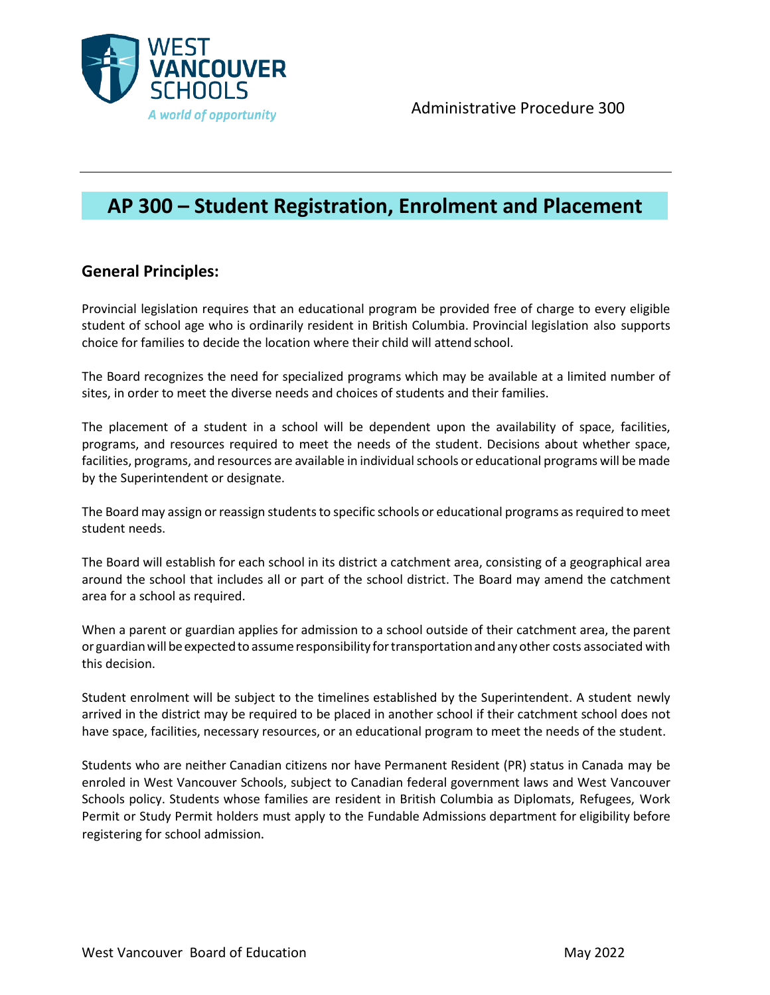

# **AP 300 – Student Registration, Enrolment and Placement**

## **General Principles:**

Provincial legislation requires that an educational program be provided free of charge to every eligible student of school age who is ordinarily resident in British Columbia. Provincial legislation also supports choice for families to decide the location where their child will attend school.

The Board recognizes the need for specialized programs which may be available at a limited number of sites, in order to meet the diverse needs and choices of students and their families.

The placement of a student in a school will be dependent upon the availability of space, facilities, programs, and resources required to meet the needs of the student. Decisions about whether space, facilities, programs, and resources are available in individual schools or educational programs will be made by the Superintendent or designate.

The Board may assign or reassign students to specific schools or educational programs as required to meet student needs.

The Board will establish for each school in its district a catchment area, consisting of a geographical area around the school that includes all or part of the school district. The Board may amend the catchment area for a school as required.

When a parent or guardian applies for admission to a school outside of their catchment area, the parent or guardianwillbeexpectedto assume responsibility fortransportationandany other costs associated with this decision.

Student enrolment will be subject to the timelines established by the Superintendent. A student newly arrived in the district may be required to be placed in another school if their catchment school does not have space, facilities, necessary resources, or an educational program to meet the needs of the student.

Students who are neither Canadian citizens nor have Permanent Resident (PR) status in Canada may be enroled in West Vancouver Schools, subject to Canadian federal government laws and West Vancouver Schools policy. Students whose families are resident in British Columbia as Diplomats, Refugees, Work Permit or Study Permit holders must apply to the Fundable Admissions department for eligibility before registering for school admission.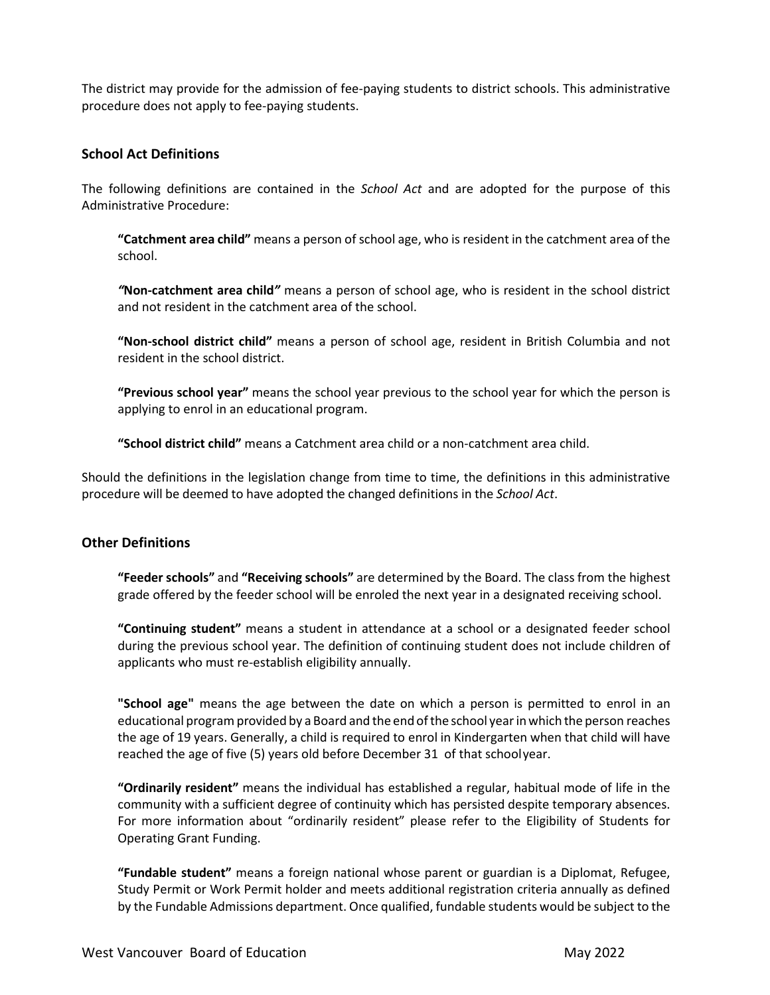The district may provide for the admission of fee-paying students to district schools. This administrative procedure does not apply to fee-paying students.

### **School Act Definitions**

The following definitions are contained in the *School Act* and are adopted for the purpose of this Administrative Procedure:

**"Catchment area child"** means a person of school age, who is resident in the catchment area of the school.

*"***Non-catchment area child***"* means a person of school age, who is resident in the school district and not resident in the catchment area of the school.

**"Non-school district child"** means a person of school age, resident in British Columbia and not resident in the school district.

**"Previous school year"** means the school year previous to the school year for which the person is applying to enrol in an educational program.

**"School district child"** means a Catchment area child or a non-catchment area child.

Should the definitions in the legislation change from time to time, the definitions in this administrative procedure will be deemed to have adopted the changed definitions in the *School Act*.

#### **Other Definitions**

**"Feeder schools"** and **"Receiving schools"** are determined by the Board. The class from the highest grade offered by the feeder school will be enroled the next year in a designated receiving school.

**"Continuing student"** means a student in attendance at a school or a designated feeder school during the previous school year. The definition of continuing student does not include children of applicants who must re-establish eligibility annually.

**"School age"** means the age between the date on which a person is permitted to enrol in an educational program provided by a Board and the end ofthe school yearinwhich the person reaches the age of 19 years. Generally, a child is required to enrol in Kindergarten when that child will have reached the age of five (5) years old before December 31 of that schoolyear.

**"Ordinarily resident"** means the individual has established a regular, habitual mode of life in the community with a sufficient degree of continuity which has persisted despite temporary absences. For more information about "ordinarily resident" please refer to the Eligibility of Students for Operating Grant Funding.

**"Fundable student"** means a foreign national whose parent or guardian is a Diplomat, Refugee, Study Permit or Work Permit holder and meets additional registration criteria annually as defined by the Fundable Admissions department. Once qualified, fundable students would be subject to the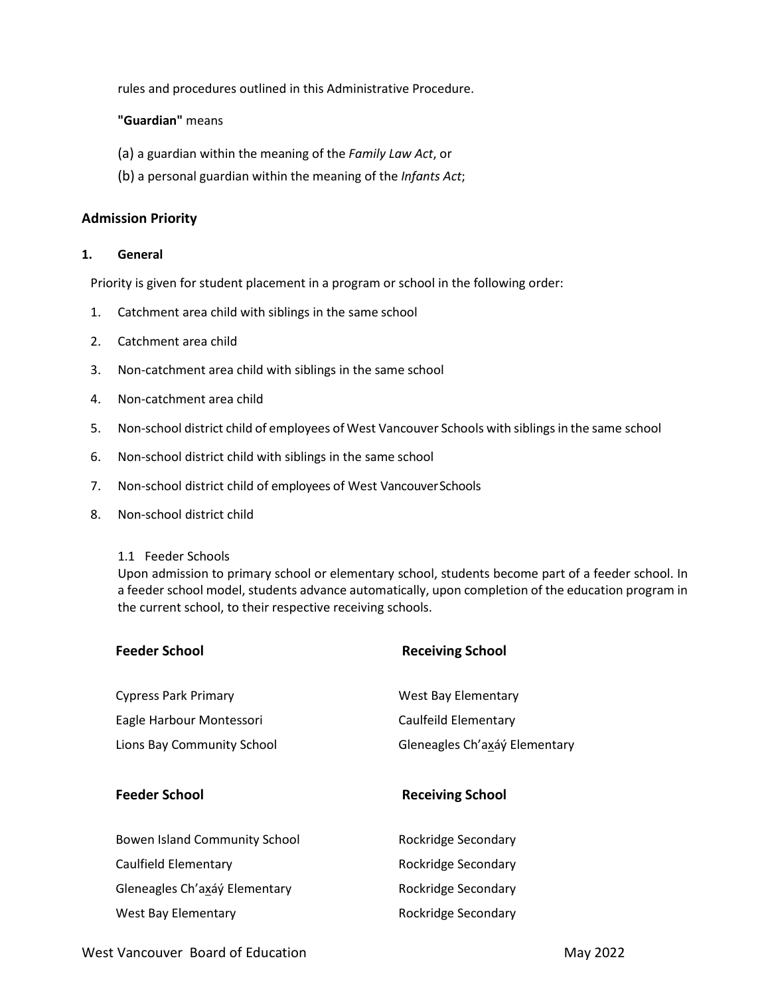rules and procedures outlined in this Administrative Procedure.

**"Guardian"** means

- (a) a guardian within the meaning of the *Family Law Act*, or
- (b) a personal guardian within the meaning of the *Infants Act*;

#### **Admission Priority**

#### **1. General**

Priority is given for student placement in a program or school in the following order:

- 1. Catchment area child with siblings in the same school
- 2. Catchment area child
- 3. Non-catchment area child with siblings in the same school
- 4. Non-catchment area child
- 5. Non-school district child of employees of West Vancouver Schools with siblings in the same school
- 6. Non-school district child with siblings in the same school
- 7. Non-school district child of employees of West VancouverSchools
- 8. Non-school district child

#### 1.1 Feeder Schools

Upon admission to primary school or elementary school, students become part of a feeder school. In a feeder school model, students advance automatically, upon completion of the education program in the current school, to their respective receiving schools.

| <b>Feeder School</b>          | <b>Receiving School</b>       |
|-------------------------------|-------------------------------|
| <b>Cypress Park Primary</b>   | <b>West Bay Elementary</b>    |
| Eagle Harbour Montessori      | Caulfeild Elementary          |
| Lions Bay Community School    | Gleneagles Ch'axáý Elementary |
| <b>Feeder School</b>          | <b>Receiving School</b>       |
| Bowen Island Community School | Rockridge Secondary           |
| Caulfield Elementary          | Rockridge Secondary           |
| Gleneagles Ch'axáý Elementary | Rockridge Secondary           |
|                               |                               |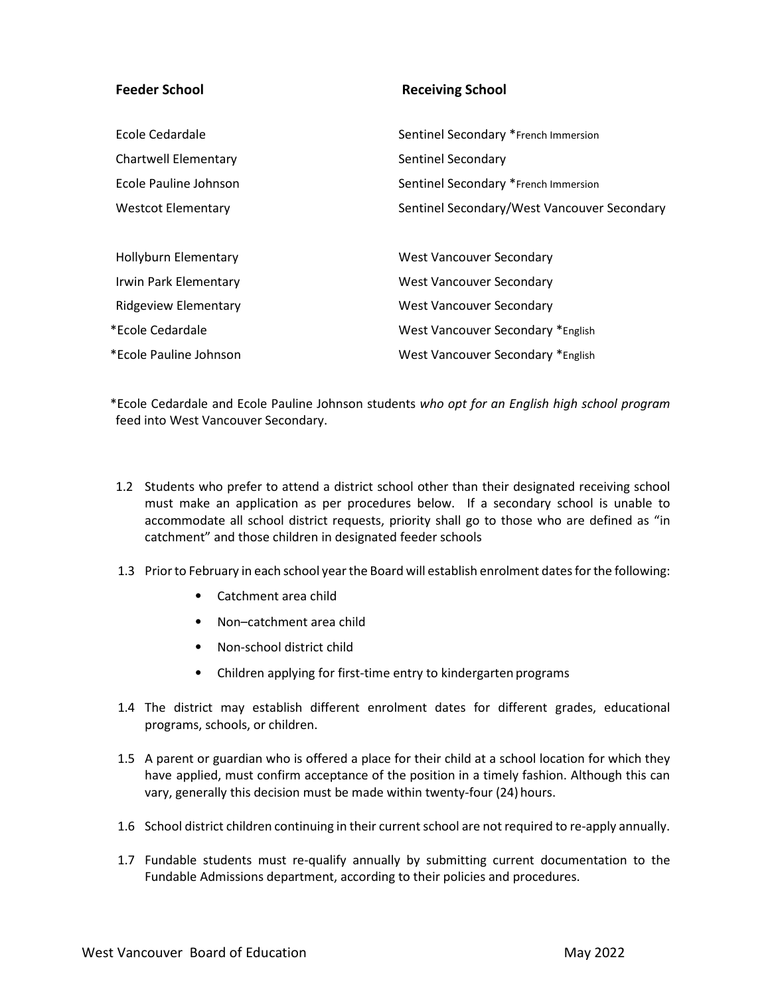#### **Feeder School Receiving School**

| Ecole Cedardale             | Sentinel Secondary *French Immersion        |
|-----------------------------|---------------------------------------------|
| Chartwell Elementary        | Sentinel Secondary                          |
| Ecole Pauline Johnson       | Sentinel Secondary *French Immersion        |
| <b>Westcot Elementary</b>   | Sentinel Secondary/West Vancouver Secondary |
|                             |                                             |
| <b>Hollyburn Elementary</b> | <b>West Vancouver Secondary</b>             |
| Irwin Park Elementary       | West Vancouver Secondary                    |
| <b>Ridgeview Elementary</b> | West Vancouver Secondary                    |
| *Ecole Cedardale            | West Vancouver Secondary *English           |
| *Ecole Pauline Johnson      | West Vancouver Secondary *English           |

\*Ecole Cedardale and Ecole Pauline Johnson students *who opt for an English high school program* feed into West Vancouver Secondary.

- 1.2 Students who prefer to attend a district school other than their designated receiving school must make an application as per procedures below. If a secondary school is unable to accommodate all school district requests, priority shall go to those who are defined as "in catchment" and those children in designated feeder schools
- 1.3 Prior to February in each school year the Board will establish enrolment dates for the following:
	- Catchment area child
	- Non–catchment area child
	- Non-school district child
	- Children applying for first-time entry to kindergarten programs
- 1.4 The district may establish different enrolment dates for different grades, educational programs, schools, or children.
- 1.5 A parent or guardian who is offered a place for their child at a school location for which they have applied, must confirm acceptance of the position in a timely fashion. Although this can vary, generally this decision must be made within twenty-four (24) hours.
- 1.6 School district children continuing in their current school are not required to re-apply annually.
- 1.7 Fundable students must re-qualify annually by submitting current documentation to the Fundable Admissions department, according to their policies and procedures.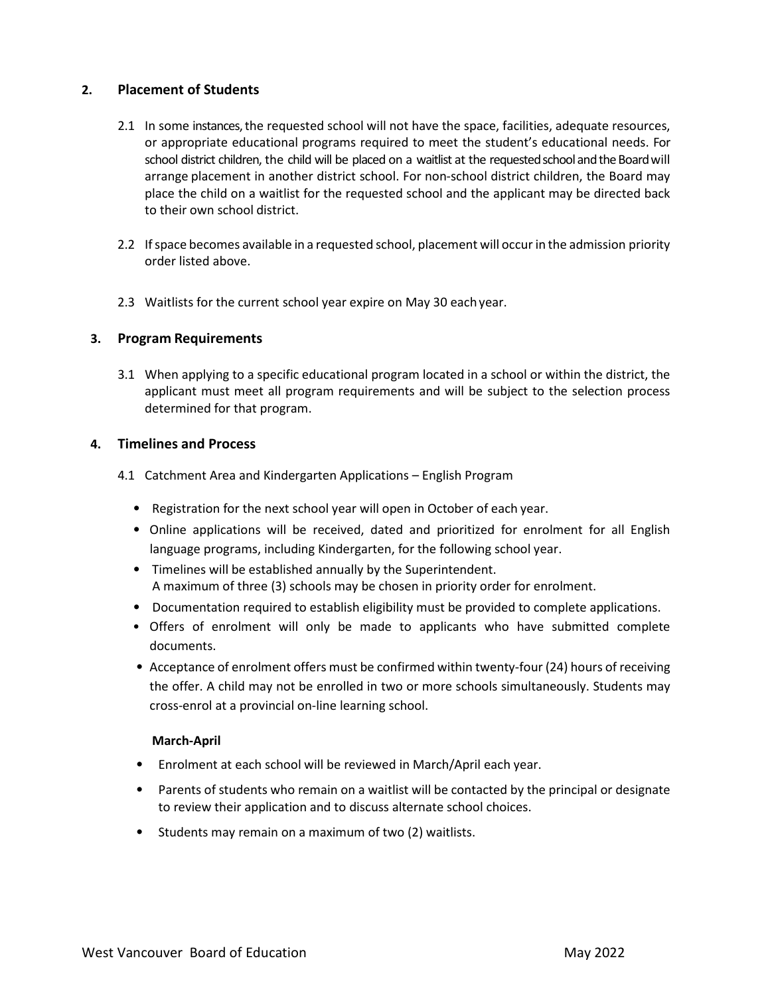#### **2. Placement of Students**

- 2.1 In some instances, the requested school will not have the space, facilities, adequate resources, or appropriate educational programs required to meet the student's educational needs. For school district children, the child will be placed on a waitlist at the requested school and the Board will arrange placement in another district school. For non-school district children, the Board may place the child on a waitlist for the requested school and the applicant may be directed back to their own school district.
- 2.2 Ifspace becomes available in a requested school, placement will occurin the admission priority order listed above.
- 2.3 Waitlists for the current school year expire on May 30 eachyear.

#### **3. Program Requirements**

3.1 When applying to a specific educational program located in a school or within the district, the applicant must meet all program requirements and will be subject to the selection process determined for that program.

#### **4. Timelines and Process**

- 4.1 Catchment Area and Kindergarten Applications English Program
	- Registration for the next school year will open in October of each year.
	- Online applications will be received, dated and prioritized for enrolment for all English language programs, including Kindergarten, for the following school year.
	- Timelines will be established annually by the Superintendent. A maximum of three (3) schools may be chosen in priority order for enrolment.
	- Documentation required to establish eligibility must be provided to complete applications.
	- Offers of enrolment will only be made to applicants who have submitted complete documents.
	- Acceptance of enrolment offers must be confirmed within twenty-four (24) hours of receiving the offer. A child may not be enrolled in two or more schools simultaneously. Students may cross-enrol at a provincial on-line learning school.

#### **March-April**

- Enrolment at each school will be reviewed in March/April each year.
- Parents of students who remain on a waitlist will be contacted by the principal or designate to review their application and to discuss alternate school choices.
- Students may remain on a maximum of two (2) waitlists.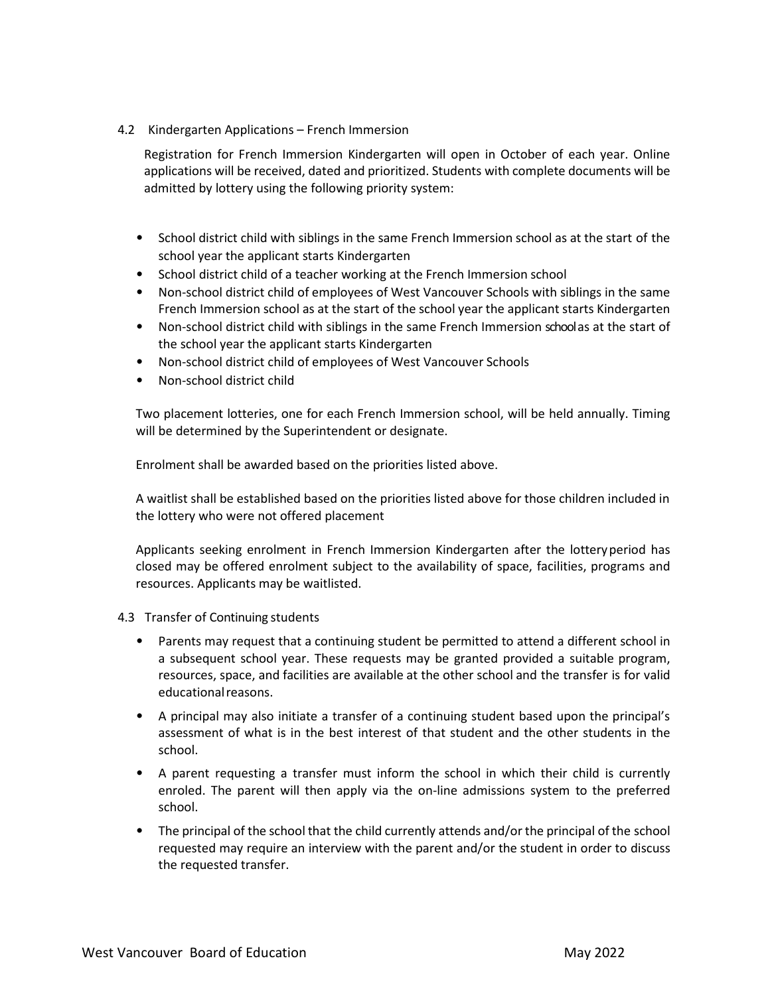4.2 Kindergarten Applications – French Immersion

Registration for French Immersion Kindergarten will open in October of each year. Online applications will be received, dated and prioritized. Students with complete documents will be admitted by lottery using the following priority system:

- School district child with siblings in the same French Immersion school as at the start of the school year the applicant starts Kindergarten
- School district child of a teacher working at the French Immersion school
- Non-school district child of employees of West Vancouver Schools with siblings in the same French Immersion school as at the start of the school year the applicant starts Kindergarten
- Non-school district child with siblings in the same French Immersion school as at the start of the school year the applicant starts Kindergarten
- Non-school district child of employees of West Vancouver Schools
- Non-school district child

Two placement lotteries, one for each French Immersion school, will be held annually. Timing will be determined by the Superintendent or designate.

Enrolment shall be awarded based on the priorities listed above.

A waitlist shall be established based on the priorities listed above for those children included in the lottery who were not offered placement

Applicants seeking enrolment in French Immersion Kindergarten after the lotteryperiod has closed may be offered enrolment subject to the availability of space, facilities, programs and resources. Applicants may be waitlisted.

- 4.3 Transfer of Continuing students
	- Parents may request that a continuing student be permitted to attend a different school in a subsequent school year. These requests may be granted provided a suitable program, resources, space, and facilities are available at the other school and the transfer is for valid educationalreasons.
	- A principal may also initiate a transfer of a continuing student based upon the principal's assessment of what is in the best interest of that student and the other students in the school.
	- A parent requesting a transfer must inform the school in which their child is currently enroled. The parent will then apply via the on-line admissions system to the preferred school.
	- The principal of the school that the child currently attends and/or the principal of the school requested may require an interview with the parent and/or the student in order to discuss the requested transfer.